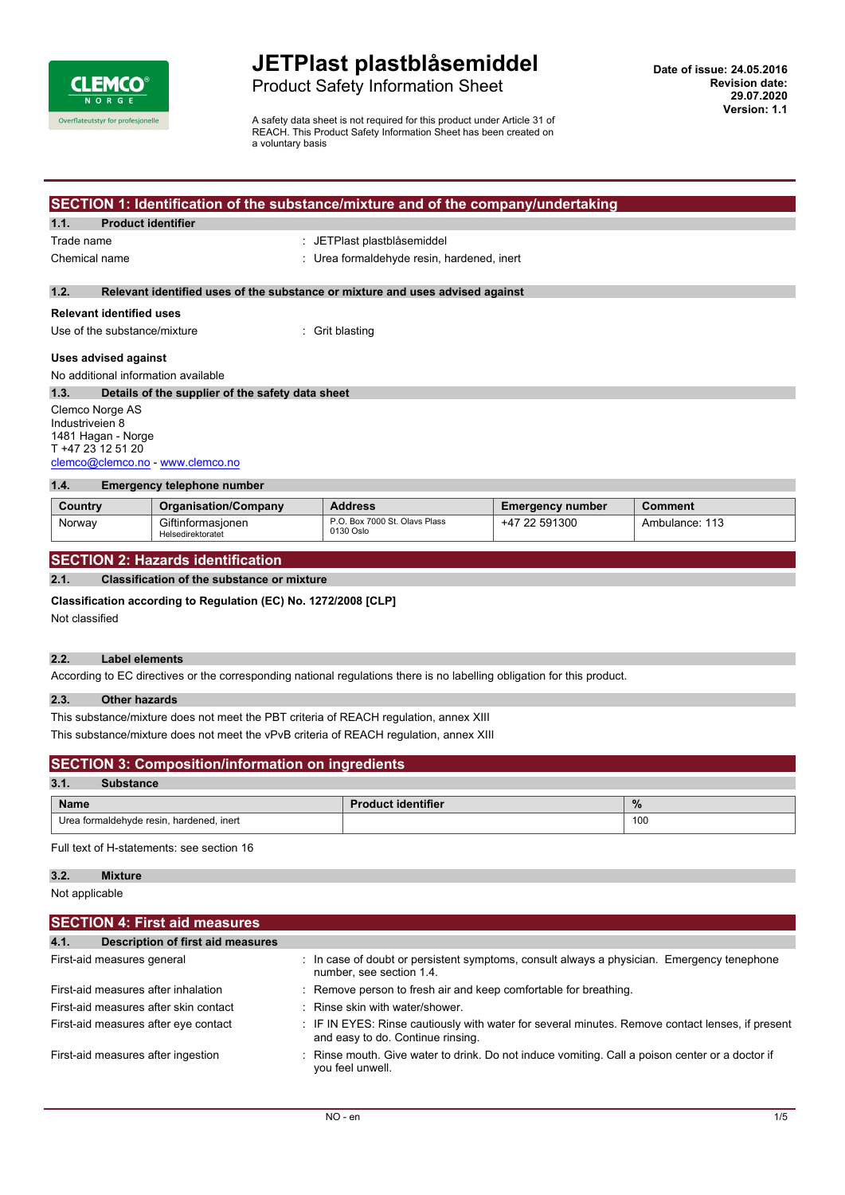

# Product Safety Information Sheet

A safety data sheet is not required for this product under Article 31 of REACH. This Product Safety Information Sheet has been created on a voluntary basis

## **SECTION 1: Identification of the substance/mixture and of the company/undertaking**

#### **1.1. Product identifier**

Trade name  $\qquad \qquad :$  JETPlast plastblåsemiddel

Chemical name : Urea formaldehyde resin, hardened, inert

### **1.2. Relevant identified uses of the substance or mixture and uses advised against**

#### **Relevant identified uses**

Use of the substance/mixture : Grit blasting

### **Uses advised against**

No additional information available

**1.3. Details of the supplier of the safety data sheet** Clemco Norge AS Industriveien 8 1481 Hagan - Norge T +47 23 12 51 20

### [clemco@clemco.no](mailto:clemco@clemco.no) -<www.clemco.no>

| 1.4.<br>Emergency telephone number |                                        |                                            |                         |                |
|------------------------------------|----------------------------------------|--------------------------------------------|-------------------------|----------------|
| Country                            | <b>Organisation/Company</b>            | <b>Address</b>                             | <b>Emergency number</b> | Comment        |
| Norway                             | Giftinformasionen<br>Helsedirektoratet | P.O. Box 7000 St. Olavs Plass<br>0130 Oslo | +47 22 591300           | Ambulance: 113 |

### **SECTION 2: Hazards identification**

#### **2.1. Classification of the substance or mixture**

#### **Classification according to Regulation (EC) No. 1272/2008 [CLP]**

Not classified

### **2.2. Label elements**

According to EC directives or the corresponding national regulations there is no labelling obligation for this product.

### **2.3. Other hazards**

This substance/mixture does not meet the PBT criteria of REACH regulation, annex XIII This substance/mixture does not meet the vPvB criteria of REACH regulation, annex XIII

| <b>SECTION 3: Composition/information on ingredients</b>  |  |  |     |
|-----------------------------------------------------------|--|--|-----|
| 3.1.<br><b>Substance</b>                                  |  |  |     |
| $\frac{9}{6}$<br><b>Name</b><br><b>Product identifier</b> |  |  |     |
| Urea formaldehyde resin, hardened, inert                  |  |  | 100 |

Full text of H-statements: see section 16

### **3.2. Mixture**

Not applicable

| <b>SECTION 4: First aid measures</b>      |                                                                                                                                       |  |  |  |
|-------------------------------------------|---------------------------------------------------------------------------------------------------------------------------------------|--|--|--|
| Description of first aid measures<br>4.1. |                                                                                                                                       |  |  |  |
| First-aid measures general                | : In case of doubt or persistent symptoms, consult always a physician. Emergency tenephone<br>number, see section 1.4.                |  |  |  |
| First-aid measures after inhalation       | : Remove person to fresh air and keep comfortable for breathing.                                                                      |  |  |  |
| First-aid measures after skin contact     | : Rinse skin with water/shower.                                                                                                       |  |  |  |
| First-aid measures after eye contact      | : IF IN EYES: Rinse cautiously with water for several minutes. Remove contact lenses, if present<br>and easy to do. Continue rinsing. |  |  |  |
| First-aid measures after ingestion        | : Rinse mouth. Give water to drink. Do not induce vomiting. Call a poison center or a doctor if<br>you feel unwell.                   |  |  |  |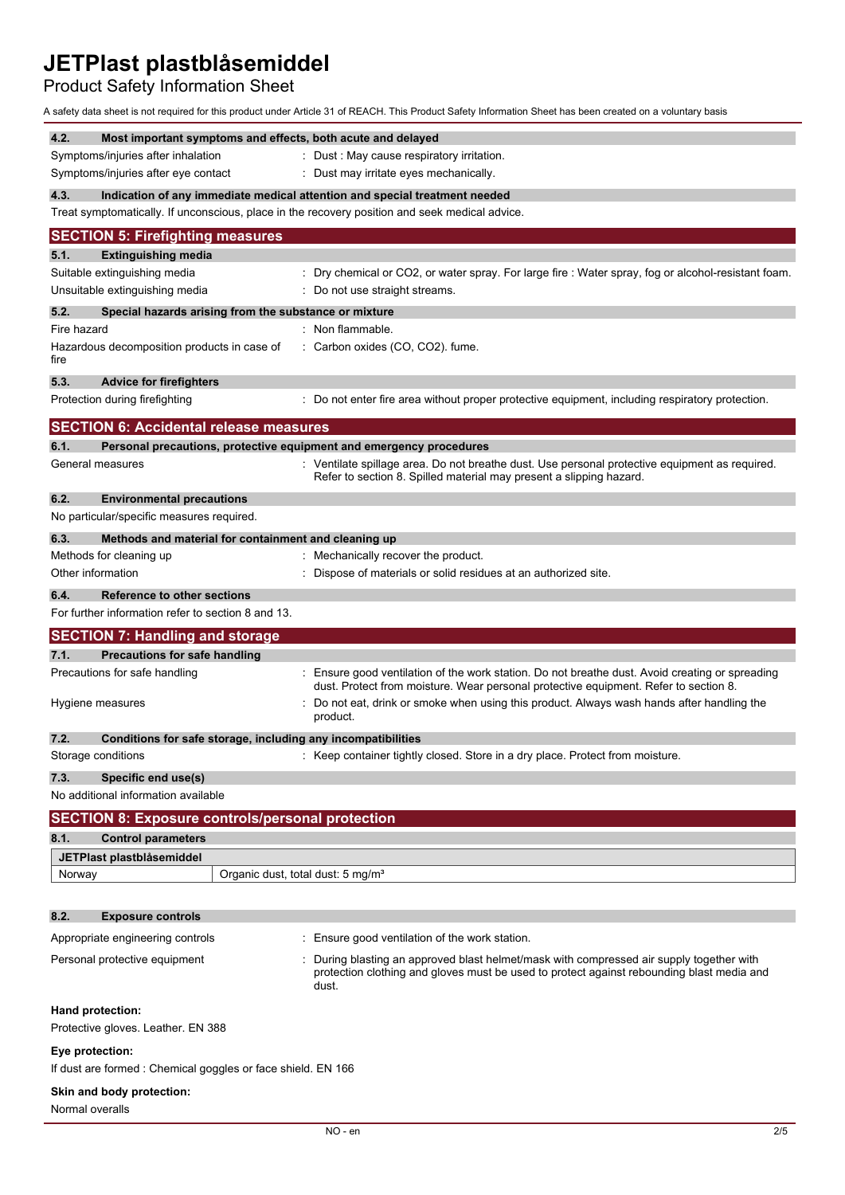# Product Safety Information Sheet

A safety data sheet is not required for this product under Article 31 of REACH. This Product Safety Information Sheet has been created on a voluntary basis

| Fire hazard                                                                                      | Non flammable.                                                                                                                                                                               |
|--------------------------------------------------------------------------------------------------|----------------------------------------------------------------------------------------------------------------------------------------------------------------------------------------------|
| Hazardous decomposition products in case of<br>fire                                              | Carbon oxides (CO, CO2). fume.                                                                                                                                                               |
| 5.3.<br><b>Advice for firefighters</b>                                                           |                                                                                                                                                                                              |
| Protection during firefighting                                                                   | Do not enter fire area without proper protective equipment, including respiratory protection.                                                                                                |
| <b>SECTION 6: Accidental release measures</b>                                                    |                                                                                                                                                                                              |
| 6.1.                                                                                             | Personal precautions, protective equipment and emergency procedures                                                                                                                          |
| General measures                                                                                 | Ventilate spillage area. Do not breathe dust. Use personal protective equipment as required.<br>Refer to section 8. Spilled material may present a slipping hazard.                          |
| 6.2.<br><b>Environmental precautions</b>                                                         |                                                                                                                                                                                              |
| No particular/specific measures required.                                                        |                                                                                                                                                                                              |
| 6.3.<br>Methods and material for containment and cleaning up                                     |                                                                                                                                                                                              |
| Methods for cleaning up<br>Other information                                                     | : Mechanically recover the product.<br>Dispose of materials or solid residues at an authorized site.                                                                                         |
|                                                                                                  |                                                                                                                                                                                              |
| 6.4.<br><b>Reference to other sections</b><br>For further information refer to section 8 and 13. |                                                                                                                                                                                              |
|                                                                                                  |                                                                                                                                                                                              |
|                                                                                                  |                                                                                                                                                                                              |
| <b>SECTION 7: Handling and storage</b>                                                           |                                                                                                                                                                                              |
| 7.1.<br><b>Precautions for safe handling</b><br>Precautions for safe handling                    | Ensure good ventilation of the work station. Do not breathe dust. Avoid creating or spreading<br>dust. Protect from moisture. Wear personal protective equipment. Refer to section 8.        |
| Hygiene measures                                                                                 | Do not eat, drink or smoke when using this product. Always wash hands after handling the<br>product.                                                                                         |
| 7.2.<br>Conditions for safe storage, including any incompatibilities                             |                                                                                                                                                                                              |
| Storage conditions                                                                               | Keep container tightly closed. Store in a dry place. Protect from moisture.                                                                                                                  |
| 7.3.<br>Specific end use(s)                                                                      |                                                                                                                                                                                              |
| No additional information available                                                              |                                                                                                                                                                                              |
| <b>SECTION 8: Exposure controls/personal protection</b>                                          |                                                                                                                                                                                              |
| 8.1.<br><b>Control parameters</b>                                                                |                                                                                                                                                                                              |
| JETPlast plastblåsemiddel                                                                        |                                                                                                                                                                                              |
| Norway                                                                                           | Organic dust, total dust: 5 mg/m <sup>3</sup>                                                                                                                                                |
|                                                                                                  |                                                                                                                                                                                              |
| 8.2.<br><b>Exposure controls</b>                                                                 |                                                                                                                                                                                              |
| Appropriate engineering controls                                                                 | Ensure good ventilation of the work station.                                                                                                                                                 |
| Personal protective equipment                                                                    | During blasting an approved blast helmet/mask with compressed air supply together with<br>protection clothing and gloves must be used to protect against rebounding blast media and<br>dust. |
| Hand protection:<br>Protective gloves. Leather. EN 388                                           |                                                                                                                                                                                              |
| Eye protection:                                                                                  |                                                                                                                                                                                              |
| If dust are formed: Chemical goggles or face shield. EN 166                                      |                                                                                                                                                                                              |
| Skin and body protection:<br>Normal overalls                                                     |                                                                                                                                                                                              |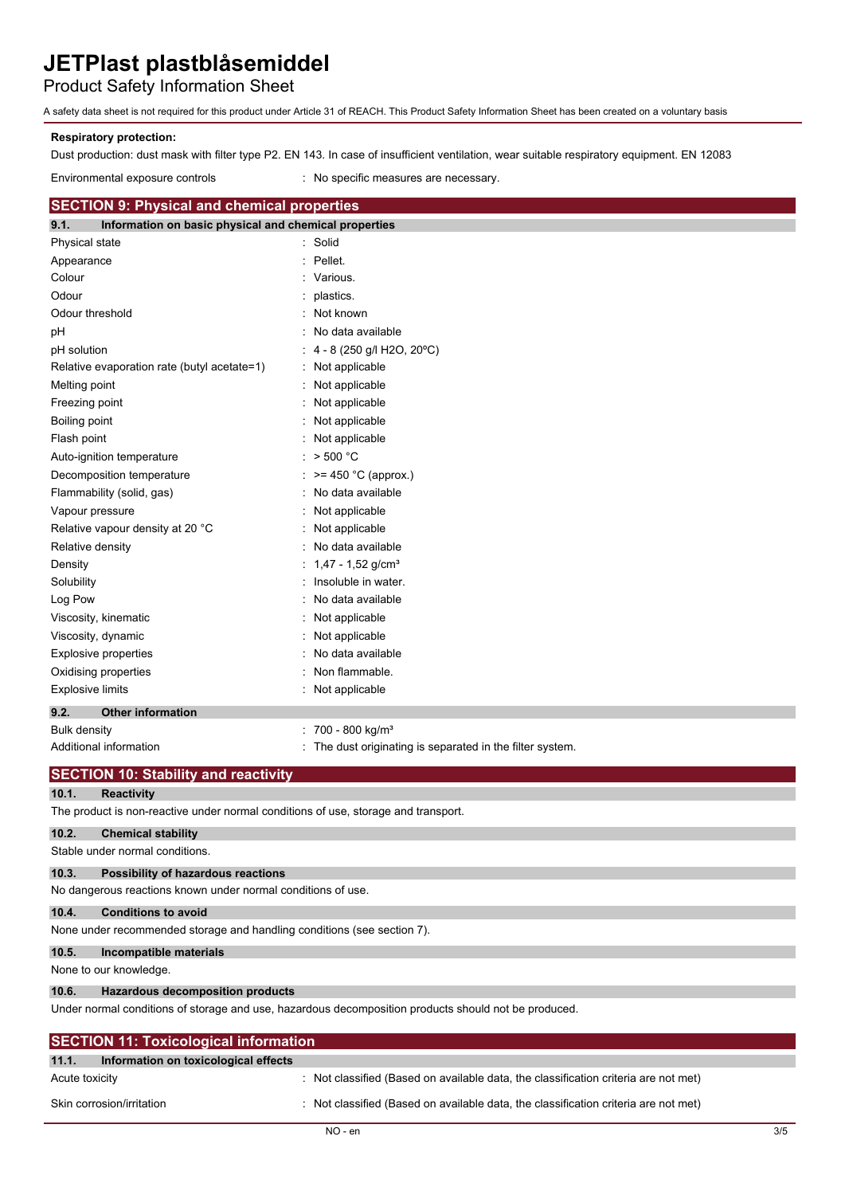# Product Safety Information Sheet

A safety data sheet is not required for this product under Article 31 of REACH. This Product Safety Information Sheet has been created on a voluntary basis

### **Respiratory protection:**

Dust production: dust mask with filter type P2. EN 143. In case of insufficient ventilation, wear suitable respiratory equipment. EN 12083

Environmental exposure controls : No specific measures are necessary.

### **SECTION 9: Physical and chemical properties**

| 9.1.<br>Information on basic physical and chemical properties |                                                         |
|---------------------------------------------------------------|---------------------------------------------------------|
| Physical state                                                | Solid                                                   |
| Appearance                                                    | Pellet.                                                 |
| Colour                                                        | Various.                                                |
| Odour                                                         | plastics.                                               |
| Odour threshold                                               | Not known                                               |
| pH                                                            | No data available                                       |
| pH solution                                                   | 4 - 8 (250 g/l H2O, 20°C)                               |
| Relative evaporation rate (butyl acetate=1)                   | Not applicable                                          |
| Melting point                                                 | Not applicable                                          |
| Freezing point                                                | Not applicable                                          |
| Boiling point                                                 | Not applicable                                          |
| Flash point                                                   | Not applicable                                          |
| Auto-ignition temperature                                     | $>$ 500 $^{\circ}$ C                                    |
| Decomposition temperature                                     | $>= 450$ °C (approx.)                                   |
| Flammability (solid, gas)                                     | No data available                                       |
| Vapour pressure                                               | Not applicable                                          |
| Relative vapour density at 20 °C                              | Not applicable                                          |
| Relative density                                              | No data available                                       |
| Density                                                       | $1,47 - 1,52$ g/cm <sup>3</sup>                         |
| Solubility                                                    | Insoluble in water.                                     |
| Log Pow                                                       | No data available                                       |
| Viscosity, kinematic                                          | Not applicable                                          |
| Viscosity, dynamic                                            | Not applicable                                          |
| Explosive properties                                          | No data available                                       |
| Oxidising properties                                          | Non flammable.                                          |
| <b>Explosive limits</b>                                       | Not applicable                                          |
| 9.2.<br><b>Other information</b>                              |                                                         |
| <b>Bulk density</b>                                           | 700 - 800 kg/m <sup>3</sup>                             |
| Additional information                                        | The dust originating is separated in the filter system. |

|                | <b>SECTION 10: Stability and reactivity</b>                                        |                                                                                                      |  |  |
|----------------|------------------------------------------------------------------------------------|------------------------------------------------------------------------------------------------------|--|--|
| 10.1.          | <b>Reactivity</b>                                                                  |                                                                                                      |  |  |
|                | The product is non-reactive under normal conditions of use, storage and transport. |                                                                                                      |  |  |
| 10.2.          | <b>Chemical stability</b>                                                          |                                                                                                      |  |  |
|                | Stable under normal conditions.                                                    |                                                                                                      |  |  |
| 10.3.          | Possibility of hazardous reactions                                                 |                                                                                                      |  |  |
|                | No dangerous reactions known under normal conditions of use.                       |                                                                                                      |  |  |
| 10.4.          | <b>Conditions to avoid</b>                                                         |                                                                                                      |  |  |
|                | None under recommended storage and handling conditions (see section 7).            |                                                                                                      |  |  |
| 10.5.          | Incompatible materials                                                             |                                                                                                      |  |  |
|                | None to our knowledge.                                                             |                                                                                                      |  |  |
| 10.6.          | <b>Hazardous decomposition products</b>                                            |                                                                                                      |  |  |
|                |                                                                                    | Under normal conditions of storage and use, hazardous decomposition products should not be produced. |  |  |
|                | <b>SECTION 11: Toxicological information</b>                                       |                                                                                                      |  |  |
| 11.1.          | Information on toxicological effects                                               |                                                                                                      |  |  |
| Acute toxicity |                                                                                    | Not classified (Based on available data, the classification criteria are not met)                    |  |  |
|                | Skin corrosion/irritation                                                          | Not classified (Based on available data, the classification criteria are not met)                    |  |  |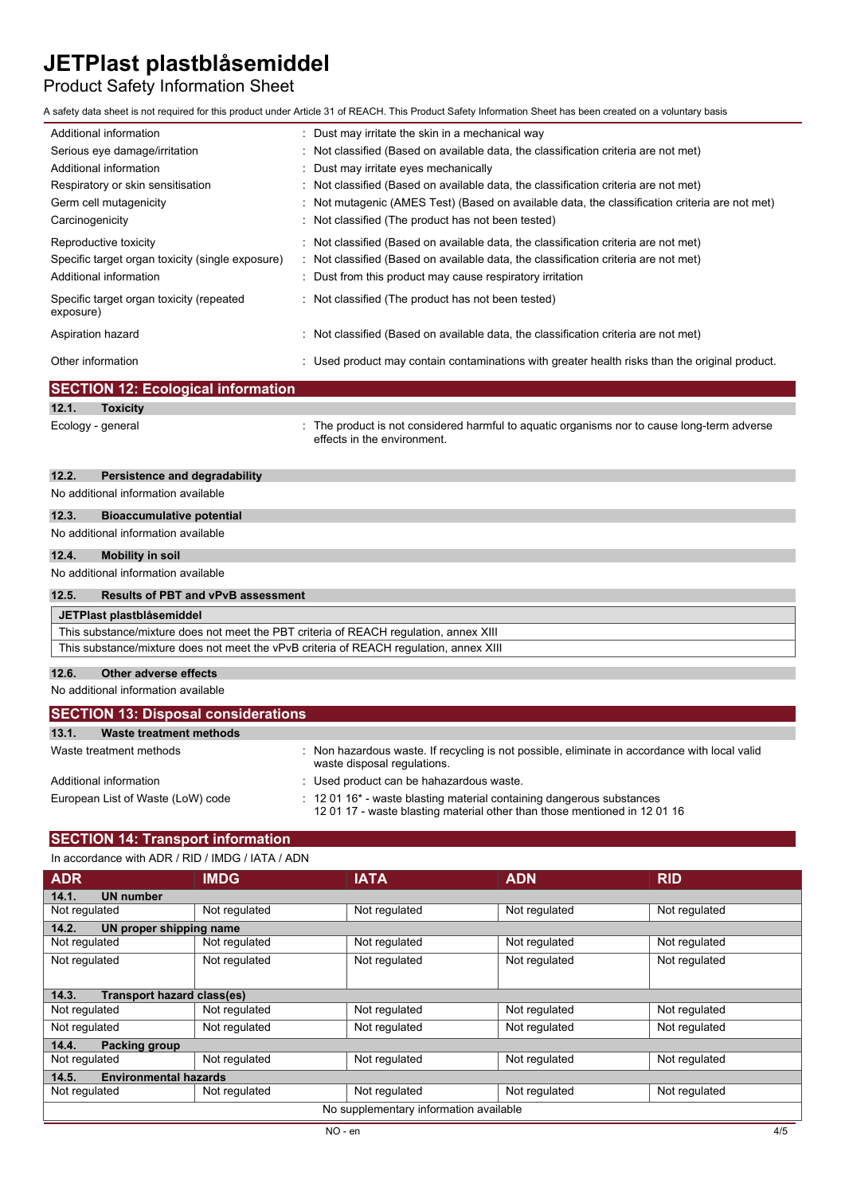# Product Safety Information Sheet

A safety data sheet is not required for this product under Article 31 of REACH. This Product Safety Information Sheet has been created on a voluntary basis

| Additional information                                                    | : Dust may irritate the skin in a mechanical way                                                                                                                           |
|---------------------------------------------------------------------------|----------------------------------------------------------------------------------------------------------------------------------------------------------------------------|
| Serious eye damage/irritation                                             | : Not classified (Based on available data, the classification criteria are not met)                                                                                        |
| Additional information                                                    | : Dust may irritate eyes mechanically                                                                                                                                      |
| Respiratory or skin sensitisation                                         | : Not classified (Based on available data, the classification criteria are not met)                                                                                        |
| Germ cell mutagenicity                                                    | : Not mutagenic (AMES Test) (Based on available data, the classification criteria are not met)                                                                             |
| Carcinogenicity                                                           | : Not classified (The product has not been tested)                                                                                                                         |
| Reproductive toxicity<br>Specific target organ toxicity (single exposure) | : Not classified (Based on available data, the classification criteria are not met)<br>: Not classified (Based on available data, the classification criteria are not met) |
| Additional information                                                    | : Dust from this product may cause respiratory irritation                                                                                                                  |
| Specific target organ toxicity (repeated<br>exposure)                     | : Not classified (The product has not been tested)                                                                                                                         |
| Aspiration hazard                                                         | : Not classified (Based on available data, the classification criteria are not met)                                                                                        |
| Other information                                                         | : Used product may contain contaminations with greater health risks than the original product.                                                                             |

## **SECTION 12: Ecological information**

# **12.1. Toxicity**

Ecology - general **interproduct is not considered harmful to aquatic organisms nor to cause long-term adverse** effects in the environment.

## **12.2. Persistence and degradability**

# No additional information available **12.3. Bioaccumulative potential** No additional information available **12.4. Mobility in soil** No additional information available **12.5. Results of PBT and vPvB assessment JETPlast plastblåsemiddel** This substance/mixture does not meet the PBT criteria of REACH regulation, annex XIII This substance/mixture does not meet the vPvB criteria of REACH regulation, annex XIII

### **12.6. Other adverse effects**

No additional information available

| <b>SECTION 13: Disposal considerations</b> |                                                                                                                                                                         |  |  |
|--------------------------------------------|-------------------------------------------------------------------------------------------------------------------------------------------------------------------------|--|--|
| 13.1.<br>Waste treatment methods           |                                                                                                                                                                         |  |  |
| Waste treatment methods                    | : Non hazardous waste. If recycling is not possible, eliminate in accordance with local valid<br>waste disposal regulations.                                            |  |  |
| Additional information                     | : Used product can be hahazardous waste.                                                                                                                                |  |  |
| European List of Waste (LoW) code          | $\therefore$ 12 01 16 <sup>*</sup> - waste blasting material containing dangerous substances<br>1201 17 - waste blasting material other than those mentioned in 1201 16 |  |  |

## **SECTION 14: Transport information**

### In accordance with ADR / RID / IMDG / IATA / ADN

| <b>ADR</b>                            | <b>IMDG</b>                       | <b>IATA</b>                            | <b>ADN</b>    | <b>RID</b>    |  |  |
|---------------------------------------|-----------------------------------|----------------------------------------|---------------|---------------|--|--|
| 14.1.<br><b>UN number</b>             |                                   |                                        |               |               |  |  |
| Not regulated                         | Not regulated                     | Not regulated                          | Not regulated | Not regulated |  |  |
| 14.2.                                 | UN proper shipping name           |                                        |               |               |  |  |
| Not regulated                         | Not regulated                     | Not regulated                          | Not regulated | Not regulated |  |  |
| Not regulated                         | Not regulated                     | Not regulated                          | Not regulated | Not regulated |  |  |
|                                       |                                   |                                        |               |               |  |  |
| 14.3.                                 | <b>Transport hazard class(es)</b> |                                        |               |               |  |  |
| Not regulated                         | Not regulated                     | Not regulated                          | Not regulated | Not regulated |  |  |
| Not regulated                         | Not regulated                     | Not regulated                          | Not regulated | Not regulated |  |  |
| 14.4.<br><b>Packing group</b>         |                                   |                                        |               |               |  |  |
| Not regulated                         | Not regulated                     | Not regulated                          | Not regulated | Not regulated |  |  |
| <b>Environmental hazards</b><br>14.5. |                                   |                                        |               |               |  |  |
| Not regulated                         | Not regulated                     | Not regulated                          | Not regulated | Not regulated |  |  |
|                                       |                                   | No supplementary information available |               |               |  |  |